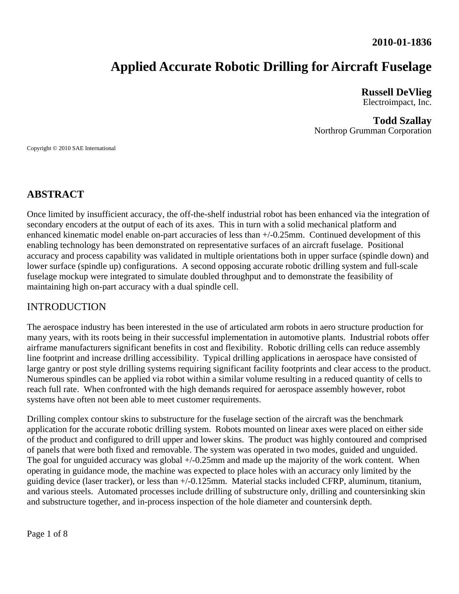# **Applied Accurate Robotic Drilling for Aircraft Fuselage**

**Russell DeVlieg**  Electroimpact, Inc.

#### **Todd Szallay**  Northrop Grumman Corporation

Copyright © 2010 SAE International

### **ABSTRACT**

Once limited by insufficient accuracy, the off-the-shelf industrial robot has been enhanced via the integration of secondary encoders at the output of each of its axes. This in turn with a solid mechanical platform and enhanced kinematic model enable on-part accuracies of less than +/-0.25mm. Continued development of this enabling technology has been demonstrated on representative surfaces of an aircraft fuselage. Positional accuracy and process capability was validated in multiple orientations both in upper surface (spindle down) and lower surface (spindle up) configurations. A second opposing accurate robotic drilling system and full-scale fuselage mockup were integrated to simulate doubled throughput and to demonstrate the feasibility of maintaining high on-part accuracy with a dual spindle cell.

### INTRODUCTION

The aerospace industry has been interested in the use of articulated arm robots in aero structure production for many years, with its roots being in their successful implementation in automotive plants. Industrial robots offer airframe manufacturers significant benefits in cost and flexibility. Robotic drilling cells can reduce assembly line footprint and increase drilling accessibility. Typical drilling applications in aerospace have consisted of large gantry or post style drilling systems requiring significant facility footprints and clear access to the product. Numerous spindles can be applied via robot within a similar volume resulting in a reduced quantity of cells to reach full rate. When confronted with the high demands required for aerospace assembly however, robot systems have often not been able to meet customer requirements.

Drilling complex contour skins to substructure for the fuselage section of the aircraft was the benchmark application for the accurate robotic drilling system. Robots mounted on linear axes were placed on either side of the product and configured to drill upper and lower skins. The product was highly contoured and comprised of panels that were both fixed and removable. The system was operated in two modes, guided and unguided. The goal for unguided accuracy was global  $+/-0.25$ mm and made up the majority of the work content. When operating in guidance mode, the machine was expected to place holes with an accuracy only limited by the guiding device (laser tracker), or less than +/-0.125mm. Material stacks included CFRP, aluminum, titanium, and various steels. Automated processes include drilling of substructure only, drilling and countersinking skin and substructure together, and in-process inspection of the hole diameter and countersink depth.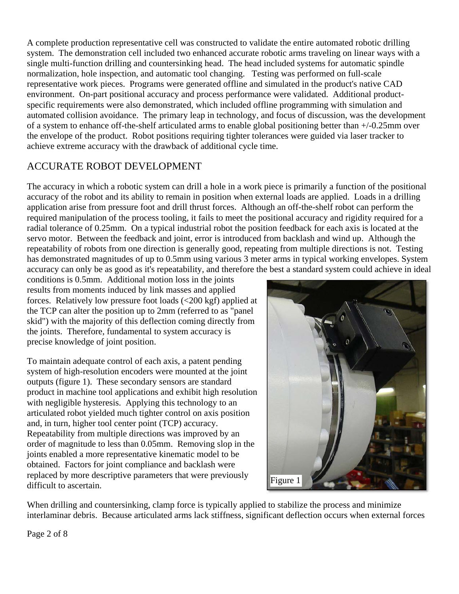A complete production representative cell was constructed to validate the entire automated robotic drilling system. The demonstration cell included two enhanced accurate robotic arms traveling on linear ways with a single multi-function drilling and countersinking head. The head included systems for automatic spindle normalization, hole inspection, and automatic tool changing. Testing was performed on full-scale representative work pieces. Programs were generated offline and simulated in the product's native CAD environment. On-part positional accuracy and process performance were validated. Additional productspecific requirements were also demonstrated, which included offline programming with simulation and automated collision avoidance. The primary leap in technology, and focus of discussion, was the development of a system to enhance off-the-shelf articulated arms to enable global positioning better than +/-0.25mm over the envelope of the product. Robot positions requiring tighter tolerances were guided via laser tracker to achieve extreme accuracy with the drawback of additional cycle time.

# ACCURATE ROBOT DEVELOPMENT

The accuracy in which a robotic system can drill a hole in a work piece is primarily a function of the positional accuracy of the robot and its ability to remain in position when external loads are applied. Loads in a drilling application arise from pressure foot and drill thrust forces. Although an off-the-shelf robot can perform the required manipulation of the process tooling, it fails to meet the positional accuracy and rigidity required for a radial tolerance of 0.25mm. On a typical industrial robot the position feedback for each axis is located at the servo motor. Between the feedback and joint, error is introduced from backlash and wind up. Although the repeatability of robots from one direction is generally good, repeating from multiple directions is not. Testing has demonstrated magnitudes of up to 0.5mm using various 3 meter arms in typical working envelopes. System accuracy can only be as good as it's repeatability, and therefore the best a standard system could achieve in ideal

conditions is 0.5mm. Additional motion loss in the joints results from moments induced by link masses and applied forces. Relatively low pressure foot loads (<200 kgf) applied at the TCP can alter the position up to 2mm (referred to as "panel skid") with the majority of this deflection coming directly from the joints. Therefore, fundamental to system accuracy is precise knowledge of joint position.

To maintain adequate control of each axis, a patent pending system of high-resolution encoders were mounted at the joint outputs (figure 1). These secondary sensors are standard product in machine tool applications and exhibit high resolution with negligible hysteresis. Applying this technology to an articulated robot yielded much tighter control on axis position and, in turn, higher tool center point (TCP) accuracy. Repeatability from multiple directions was improved by an order of magnitude to less than 0.05mm. Removing slop in the joints enabled a more representative kinematic model to be obtained. Factors for joint compliance and backlash were replaced by more descriptive parameters that were previously difficult to ascertain.



When drilling and countersinking, clamp force is typically applied to stabilize the process and minimize interlaminar debris. Because articulated arms lack stiffness, significant deflection occurs when external forces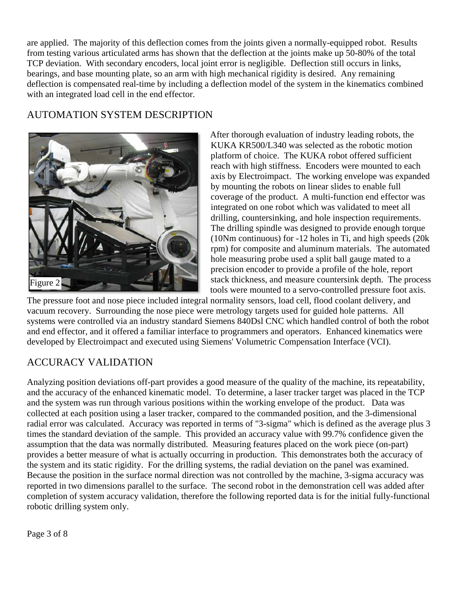are applied. The majority of this deflection comes from the joints given a normally-equipped robot. Results from testing various articulated arms has shown that the deflection at the joints make up 50-80% of the total TCP deviation. With secondary encoders, local joint error is negligible. Deflection still occurs in links, bearings, and base mounting plate, so an arm with high mechanical rigidity is desired. Any remaining deflection is compensated real-time by including a deflection model of the system in the kinematics combined with an integrated load cell in the end effector.

### AUTOMATION SYSTEM DESCRIPTION



After thorough evaluation of industry leading robots, the KUKA KR500/L340 was selected as the robotic motion platform of choice. The KUKA robot offered sufficient reach with high stiffness. Encoders were mounted to each axis by Electroimpact. The working envelope was expanded by mounting the robots on linear slides to enable full coverage of the product. A multi-function end effector was integrated on one robot which was validated to meet all drilling, countersinking, and hole inspection requirements. The drilling spindle was designed to provide enough torque (10Nm continuous) for -12 holes in Ti, and high speeds (20k rpm) for composite and aluminum materials. The automated hole measuring probe used a split ball gauge mated to a precision encoder to provide a profile of the hole, report stack thickness, and measure countersink depth. The process tools were mounted to a servo-controlled pressure foot axis.

The pressure foot and nose piece included integral normality sensors, load cell, flood coolant delivery, and vacuum recovery. Surrounding the nose piece were metrology targets used for guided hole patterns. All systems were controlled via an industry standard Siemens 840Dsl CNC which handled control of both the robot and end effector, and it offered a familiar interface to programmers and operators. Enhanced kinematics were developed by Electroimpact and executed using Siemens' Volumetric Compensation Interface (VCI).

# ACCURACY VALIDATION

Analyzing position deviations off-part provides a good measure of the quality of the machine, its repeatability, and the accuracy of the enhanced kinematic model. To determine, a laser tracker target was placed in the TCP and the system was run through various positions within the working envelope of the product. Data was collected at each position using a laser tracker, compared to the commanded position, and the 3-dimensional radial error was calculated. Accuracy was reported in terms of "3-sigma" which is defined as the average plus 3 times the standard deviation of the sample. This provided an accuracy value with 99.7% confidence given the assumption that the data was normally distributed. Measuring features placed on the work piece (on-part) provides a better measure of what is actually occurring in production. This demonstrates both the accuracy of the system and its static rigidity. For the drilling systems, the radial deviation on the panel was examined. Because the position in the surface normal direction was not controlled by the machine, 3-sigma accuracy was reported in two dimensions parallel to the surface. The second robot in the demonstration cell was added after completion of system accuracy validation, therefore the following reported data is for the initial fully-functional robotic drilling system only.

Page 3 of 8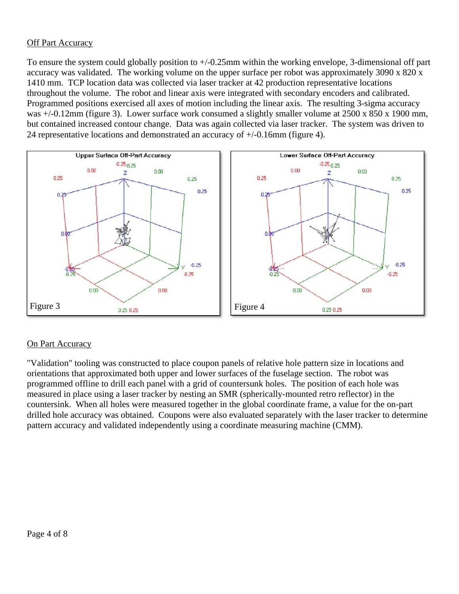#### Off Part Accuracy

To ensure the system could globally position to +/-0.25mm within the working envelope, 3-dimensional off part accuracy was validated. The working volume on the upper surface per robot was approximately 3090 x 820 x 1410 mm. TCP location data was collected via laser tracker at 42 production representative locations throughout the volume. The robot and linear axis were integrated with secondary encoders and calibrated. Programmed positions exercised all axes of motion including the linear axis. The resulting 3-sigma accuracy was  $+/-0.12$ mm (figure 3). Lower surface work consumed a slightly smaller volume at 2500 x 850 x 1900 mm, but contained increased contour change. Data was again collected via laser tracker. The system was driven to 24 representative locations and demonstrated an accuracy of +/-0.16mm (figure 4).



#### On Part Accuracy

"Validation" tooling was constructed to place coupon panels of relative hole pattern size in locations and orientations that approximated both upper and lower surfaces of the fuselage section. The robot was programmed offline to drill each panel with a grid of countersunk holes. The position of each hole was measured in place using a laser tracker by nesting an SMR (spherically-mounted retro reflector) in the countersink. When all holes were measured together in the global coordinate frame, a value for the on-part drilled hole accuracy was obtained. Coupons were also evaluated separately with the laser tracker to determine pattern accuracy and validated independently using a coordinate measuring machine (CMM).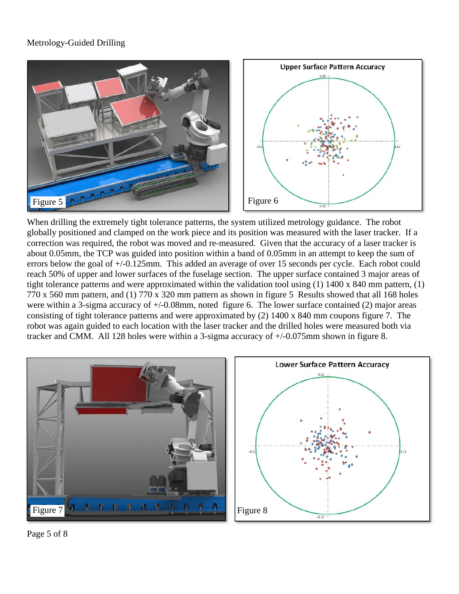#### Metrology-Guided Drilling



When drilling the extremely tight tolerance patterns, the system utilized metrology guidance. The robot globally positioned and clamped on the work piece and its position was measured with the laser tracker. If a correction was required, the robot was moved and re-measured. Given that the accuracy of a laser tracker is about 0.05mm, the TCP was guided into position within a band of 0.05mm in an attempt to keep the sum of errors below the goal of +/-0.125mm. This added an average of over 15 seconds per cycle. Each robot could reach 50% of upper and lower surfaces of the fuselage section. The upper surface contained 3 major areas of tight tolerance patterns and were approximated within the validation tool using (1) 1400 x 840 mm pattern, (1) 770 x 560 mm pattern, and (1) 770 x 320 mm pattern as shown in figure 5 Results showed that all 168 holes were within a 3-sigma accuracy of  $+/-0.08$ mm, noted figure 6. The lower surface contained (2) major areas consisting of tight tolerance patterns and were approximated by (2) 1400 x 840 mm coupons figure 7. The robot was again guided to each location with the laser tracker and the drilled holes were measured both via tracker and CMM. All 128 holes were within a 3-sigma accuracy of +/-0.075mm shown in figure 8.



Page 5 of 8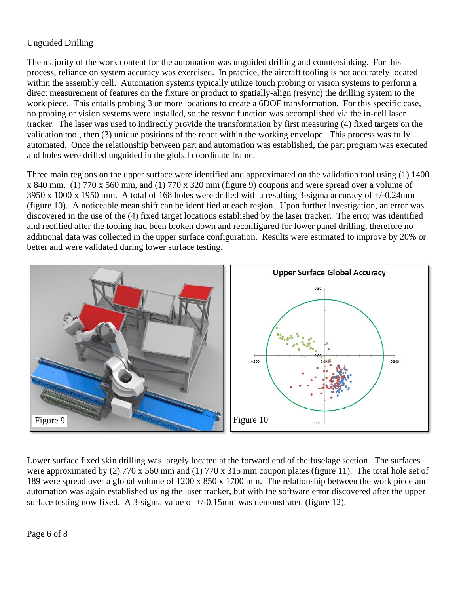#### Unguided Drilling

The majority of the work content for the automation was unguided drilling and countersinking. For this process, reliance on system accuracy was exercised. In practice, the aircraft tooling is not accurately located within the assembly cell. Automation systems typically utilize touch probing or vision systems to perform a direct measurement of features on the fixture or product to spatially-align (resync) the drilling system to the work piece. This entails probing 3 or more locations to create a 6DOF transformation. For this specific case, no probing or vision systems were installed, so the resync function was accomplished via the in-cell laser tracker. The laser was used to indirectly provide the transformation by first measuring (4) fixed targets on the validation tool, then (3) unique positions of the robot within the working envelope. This process was fully automated. Once the relationship between part and automation was established, the part program was executed and holes were drilled unguided in the global coordinate frame.

Three main regions on the upper surface were identified and approximated on the validation tool using (1) 1400 x 840 mm, (1) 770 x 560 mm, and (1) 770 x 320 mm (figure 9) coupons and were spread over a volume of 3950 x 1000 x 1950 mm. A total of 168 holes were drilled with a resulting 3-sigma accuracy of +/-0.24mm (figure 10). A noticeable mean shift can be identified at each region. Upon further investigation, an error was discovered in the use of the (4) fixed target locations established by the laser tracker. The error was identified and rectified after the tooling had been broken down and reconfigured for lower panel drilling, therefore no additional data was collected in the upper surface configuration. Results were estimated to improve by 20% or better and were validated during lower surface testing.



Lower surface fixed skin drilling was largely located at the forward end of the fuselage section. The surfaces were approximated by (2) 770 x 560 mm and (1) 770 x 315 mm coupon plates (figure 11). The total hole set of 189 were spread over a global volume of 1200 x 850 x 1700 mm. The relationship between the work piece and automation was again established using the laser tracker, but with the software error discovered after the upper surface testing now fixed. A 3-sigma value of +/-0.15mm was demonstrated (figure 12).

Page 6 of 8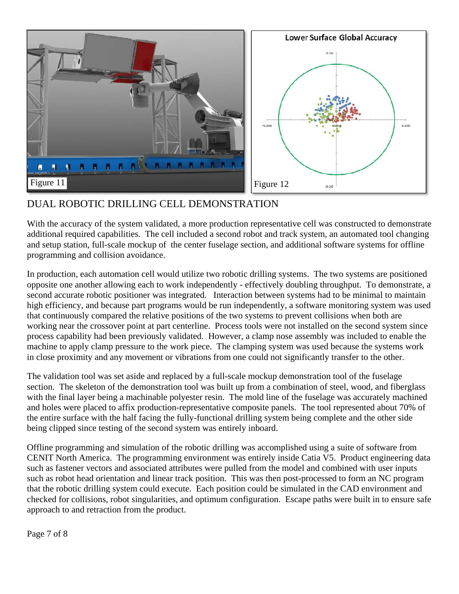

# DUAL ROBOTIC DRILLING CELL DEMONSTRATION

With the accuracy of the system validated, a more production representative cell was constructed to demonstrate additional required capabilities. The cell included a second robot and track system, an automated tool changing and setup station, full-scale mockup of the center fuselage section, and additional software systems for offline programming and collision avoidance.

In production, each automation cell would utilize two robotic drilling systems. The two systems are positioned opposite one another allowing each to work independently - effectively doubling throughput. To demonstrate, a second accurate robotic positioner was integrated. Interaction between systems had to be minimal to maintain high efficiency, and because part programs would be run independently, a software monitoring system was used that continuously compared the relative positions of the two systems to prevent collisions when both are working near the crossover point at part centerline. Process tools were not installed on the second system since process capability had been previously validated. However, a clamp nose assembly was included to enable the machine to apply clamp pressure to the work piece. The clamping system was used because the systems work in close proximity and any movement or vibrations from one could not significantly transfer to the other.

The validation tool was set aside and replaced by a full-scale mockup demonstration tool of the fuselage section. The skeleton of the demonstration tool was built up from a combination of steel, wood, and fiberglass with the final layer being a machinable polyester resin. The mold line of the fuselage was accurately machined and holes were placed to affix production-representative composite panels. The tool represented about 70% of the entire surface with the half facing the fully-functional drilling system being complete and the other side being clipped since testing of the second system was entirely inboard.

Offline programming and simulation of the robotic drilling was accomplished using a suite of software from CENIT North America. The programming environment was entirely inside Catia V5. Product engineering data such as fastener vectors and associated attributes were pulled from the model and combined with user inputs such as robot head orientation and linear track position. This was then post-processed to form an NC program that the robotic drilling system could execute. Each position could be simulated in the CAD environment and checked for collisions, robot singularities, and optimum configuration. Escape paths were built in to ensure safe approach to and retraction from the product.

Page 7 of 8